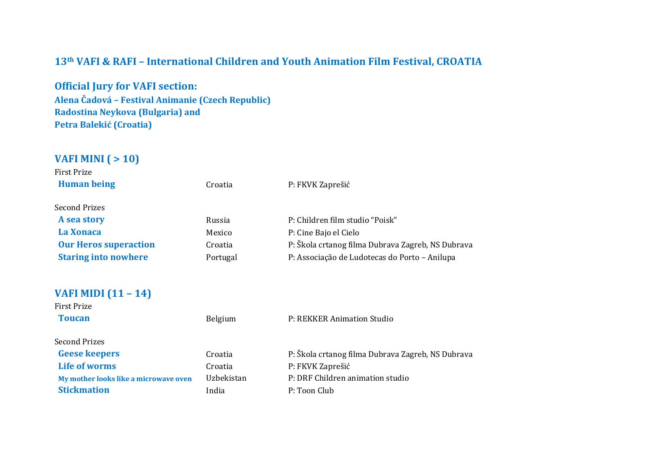### **13th VAFI & RAFI – International Children and Youth Animation Film Festival, CROATIA**

**Official Jury for VAFI section: Alena Čadová – Festival Animanie (Czech Republic) Radostina Neykova (Bulgaria) and Petra Balekić (Croatia)**

## **VAFI MINI ( > 10)**

| First Prize                  |          |                                                   |
|------------------------------|----------|---------------------------------------------------|
| <b>Human being</b>           | Croatia  | P: FKVK Zaprešić                                  |
| <b>Second Prizes</b>         |          |                                                   |
| A sea story                  | Russia   | P: Children film studio "Poisk"                   |
| La Xonaca                    | Mexico   | P: Cine Bajo el Cielo                             |
| <b>Our Heros superaction</b> | Croatia  | P: Škola crtanog filma Dubrava Zagreb, NS Dubrava |
| <b>Staring into nowhere</b>  | Portugal | P: Associação de Ludotecas do Porto – Anilupa     |
|                              |          |                                                   |
| <b>VAFI MIDI (11 - 14)</b>   |          |                                                   |

#### **VAFI MIDI (11 – 14)**

| <b>First Prize</b>                    |            |                                                   |
|---------------------------------------|------------|---------------------------------------------------|
| <b>Toucan</b>                         | Belgium    | P: REKKER Animation Studio                        |
| <b>Second Prizes</b>                  |            |                                                   |
| <b>Geese keepers</b>                  | Croatia    | P: Škola crtanog filma Dubrava Zagreb, NS Dubrava |
| Life of worms                         | Croatia    | P: FKVK Zaprešić                                  |
| My mother looks like a microwave oven | Uzbekistan | P: DRF Children animation studio                  |
| <b>Stickmation</b>                    | India      | P: Toon Club                                      |
|                                       |            |                                                   |